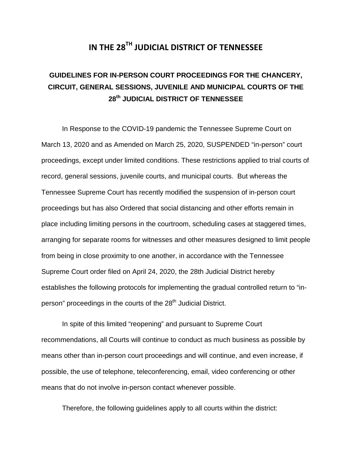# **IN THE 28TH JUDICIAL DISTRICT OF TENNESSEE**

# **GUIDELINES FOR IN-PERSON COURT PROCEEDINGS FOR THE CHANCERY, CIRCUIT, GENERAL SESSIONS, JUVENILE AND MUNICIPAL COURTS OF THE 28th JUDICIAL DISTRICT OF TENNESSEE**

In Response to the COVID-19 pandemic the Tennessee Supreme Court on March 13, 2020 and as Amended on March 25, 2020, SUSPENDED "in-person" court proceedings, except under limited conditions. These restrictions applied to trial courts of record, general sessions, juvenile courts, and municipal courts. But whereas the Tennessee Supreme Court has recently modified the suspension of in-person court proceedings but has also Ordered that social distancing and other efforts remain in place including limiting persons in the courtroom, scheduling cases at staggered times, arranging for separate rooms for witnesses and other measures designed to limit people from being in close proximity to one another, in accordance with the Tennessee Supreme Court order filed on April 24, 2020, the 28th Judicial District hereby establishes the following protocols for implementing the gradual controlled return to "inperson" proceedings in the courts of the 28<sup>th</sup> Judicial District.

In spite of this limited "reopening" and pursuant to Supreme Court recommendations, all Courts will continue to conduct as much business as possible by means other than in-person court proceedings and will continue, and even increase, if possible, the use of telephone, teleconferencing, email, video conferencing or other means that do not involve in-person contact whenever possible.

Therefore, the following guidelines apply to all courts within the district: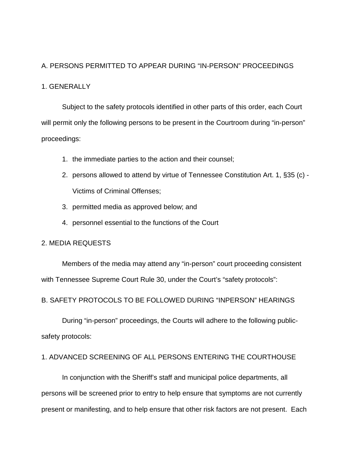# A. PERSONS PERMITTED TO APPEAR DURING "IN-PERSON" PROCEEDINGS

### 1. GENERALLY

Subject to the safety protocols identified in other parts of this order, each Court will permit only the following persons to be present in the Courtroom during "in-person" proceedings:

- 1. the immediate parties to the action and their counsel;
- 2. persons allowed to attend by virtue of Tennessee Constitution Art. 1, §35 (c) Victims of Criminal Offenses;
- 3. permitted media as approved below; and
- 4. personnel essential to the functions of the Court

#### 2. MEDIA REQUESTS

Members of the media may attend any "in-person" court proceeding consistent with Tennessee Supreme Court Rule 30, under the Court's "safety protocols":

B. SAFETY PROTOCOLS TO BE FOLLOWED DURING "INPERSON" HEARINGS

During "in-person" proceedings, the Courts will adhere to the following publicsafety protocols:

# 1. ADVANCED SCREENING OF ALL PERSONS ENTERING THE COURTHOUSE

In conjunction with the Sheriff's staff and municipal police departments, all persons will be screened prior to entry to help ensure that symptoms are not currently present or manifesting, and to help ensure that other risk factors are not present. Each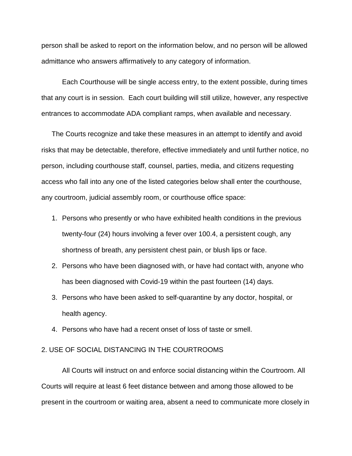person shall be asked to report on the information below, and no person will be allowed admittance who answers affirmatively to any category of information.

Each Courthouse will be single access entry, to the extent possible, during times that any court is in session. Each court building will still utilize, however, any respective entrances to accommodate ADA compliant ramps, when available and necessary.

The Courts recognize and take these measures in an attempt to identify and avoid risks that may be detectable, therefore, effective immediately and until further notice, no person, including courthouse staff, counsel, parties, media, and citizens requesting access who fall into any one of the listed categories below shall enter the courthouse, any courtroom, judicial assembly room, or courthouse office space:

- 1. Persons who presently or who have exhibited health conditions in the previous twenty-four (24) hours involving a fever over 100.4, a persistent cough, any shortness of breath, any persistent chest pain, or blush lips or face.
- 2. Persons who have been diagnosed with, or have had contact with, anyone who has been diagnosed with Covid-19 within the past fourteen (14) days.
- 3. Persons who have been asked to self-quarantine by any doctor, hospital, or health agency.
- 4. Persons who have had a recent onset of loss of taste or smell.

### 2. USE OF SOCIAL DISTANCING IN THE COURTROOMS

All Courts will instruct on and enforce social distancing within the Courtroom. All Courts will require at least 6 feet distance between and among those allowed to be present in the courtroom or waiting area, absent a need to communicate more closely in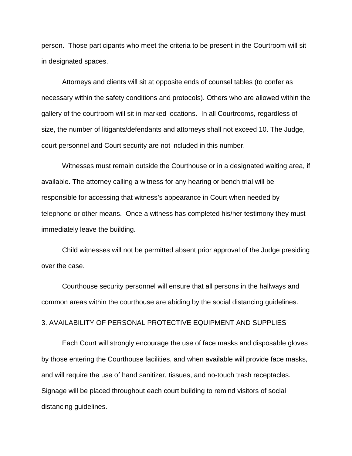person. Those participants who meet the criteria to be present in the Courtroom will sit in designated spaces.

Attorneys and clients will sit at opposite ends of counsel tables (to confer as necessary within the safety conditions and protocols). Others who are allowed within the gallery of the courtroom will sit in marked locations. In all Courtrooms, regardless of size, the number of litigants/defendants and attorneys shall not exceed 10. The Judge, court personnel and Court security are not included in this number.

Witnesses must remain outside the Courthouse or in a designated waiting area, if available. The attorney calling a witness for any hearing or bench trial will be responsible for accessing that witness's appearance in Court when needed by telephone or other means. Once a witness has completed his/her testimony they must immediately leave the building.

Child witnesses will not be permitted absent prior approval of the Judge presiding over the case.

Courthouse security personnel will ensure that all persons in the hallways and common areas within the courthouse are abiding by the social distancing guidelines.

3. AVAILABILITY OF PERSONAL PROTECTIVE EQUIPMENT AND SUPPLIES

Each Court will strongly encourage the use of face masks and disposable gloves by those entering the Courthouse facilities, and when available will provide face masks, and will require the use of hand sanitizer, tissues, and no-touch trash receptacles. Signage will be placed throughout each court building to remind visitors of social distancing guidelines.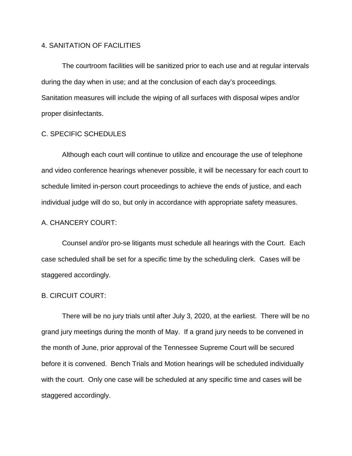# 4. SANITATION OF FACILITIES

The courtroom facilities will be sanitized prior to each use and at regular intervals during the day when in use; and at the conclusion of each day's proceedings. Sanitation measures will include the wiping of all surfaces with disposal wipes and/or proper disinfectants.

# C. SPECIFIC SCHEDULES

Although each court will continue to utilize and encourage the use of telephone and video conference hearings whenever possible, it will be necessary for each court to schedule limited in-person court proceedings to achieve the ends of justice, and each individual judge will do so, but only in accordance with appropriate safety measures.

### A. CHANCERY COURT:

Counsel and/or pro-se litigants must schedule all hearings with the Court. Each case scheduled shall be set for a specific time by the scheduling clerk. Cases will be staggered accordingly.

#### B. CIRCUIT COURT:

There will be no jury trials until after July 3, 2020, at the earliest. There will be no grand jury meetings during the month of May. If a grand jury needs to be convened in the month of June, prior approval of the Tennessee Supreme Court will be secured before it is convened. Bench Trials and Motion hearings will be scheduled individually with the court. Only one case will be scheduled at any specific time and cases will be staggered accordingly.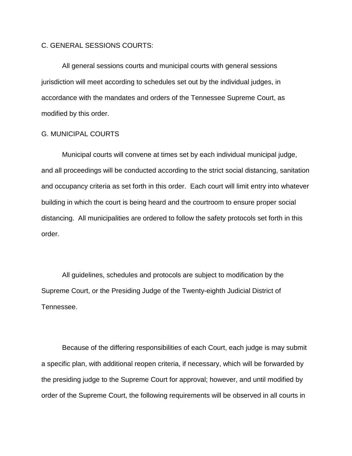#### C. GENERAL SESSIONS COURTS:

All general sessions courts and municipal courts with general sessions jurisdiction will meet according to schedules set out by the individual judges, in accordance with the mandates and orders of the Tennessee Supreme Court, as modified by this order.

# G. MUNICIPAL COURTS

Municipal courts will convene at times set by each individual municipal judge, and all proceedings will be conducted according to the strict social distancing, sanitation and occupancy criteria as set forth in this order. Each court will limit entry into whatever building in which the court is being heard and the courtroom to ensure proper social distancing. All municipalities are ordered to follow the safety protocols set forth in this order.

All guidelines, schedules and protocols are subject to modification by the Supreme Court, or the Presiding Judge of the Twenty-eighth Judicial District of Tennessee.

Because of the differing responsibilities of each Court, each judge is may submit a specific plan, with additional reopen criteria, if necessary, which will be forwarded by the presiding judge to the Supreme Court for approval; however, and until modified by order of the Supreme Court, the following requirements will be observed in all courts in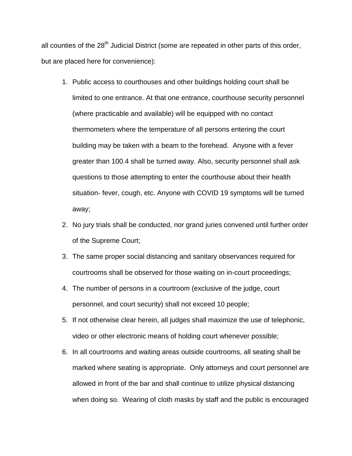all counties of the 28<sup>th</sup> Judicial District (some are repeated in other parts of this order, but are placed here for convenience):

- 1. Public access to courthouses and other buildings holding court shall be limited to one entrance. At that one entrance, courthouse security personnel (where practicable and available) will be equipped with no contact thermometers where the temperature of all persons entering the court building may be taken with a beam to the forehead. Anyone with a fever greater than 100.4 shall be turned away. Also, security personnel shall ask questions to those attempting to enter the courthouse about their health situation- fever, cough, etc. Anyone with COVID 19 symptoms will be turned away;
- 2. No jury trials shall be conducted, nor grand juries convened until further order of the Supreme Court;
- 3. The same proper social distancing and sanitary observances required for courtrooms shall be observed for those waiting on in-court proceedings;
- 4. The number of persons in a courtroom (exclusive of the judge, court personnel, and court security) shall not exceed 10 people;
- 5. If not otherwise clear herein, all judges shall maximize the use of telephonic, video or other electronic means of holding court whenever possible;
- 6. In all courtrooms and waiting areas outside courtrooms, all seating shall be marked where seating is appropriate. Only attorneys and court personnel are allowed in front of the bar and shall continue to utilize physical distancing when doing so. Wearing of cloth masks by staff and the public is encouraged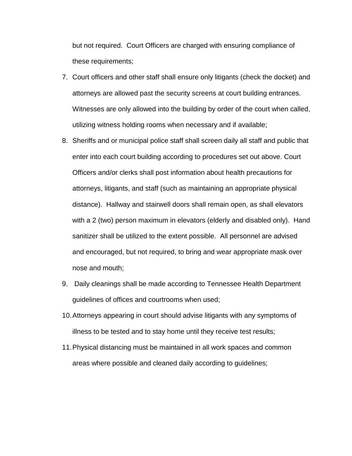but not required. Court Officers are charged with ensuring compliance of these requirements;

- 7. Court officers and other staff shall ensure only litigants (check the docket) and attorneys are allowed past the security screens at court building entrances. Witnesses are only allowed into the building by order of the court when called, utilizing witness holding rooms when necessary and if available;
- 8. Sheriffs and or municipal police staff shall screen daily all staff and public that enter into each court building according to procedures set out above. Court Officers and/or clerks shall post information about health precautions for attorneys, litigants, and staff (such as maintaining an appropriate physical distance). Hallway and stairwell doors shall remain open, as shall elevators with a 2 (two) person maximum in elevators (elderly and disabled only). Hand sanitizer shall be utilized to the extent possible. All personnel are advised and encouraged, but not required, to bring and wear appropriate mask over nose and mouth;
- 9. Daily cleanings shall be made according to Tennessee Health Department guidelines of offices and courtrooms when used;
- 10.Attorneys appearing in court should advise litigants with any symptoms of illness to be tested and to stay home until they receive test results;
- 11.Physical distancing must be maintained in all work spaces and common areas where possible and cleaned daily according to guidelines;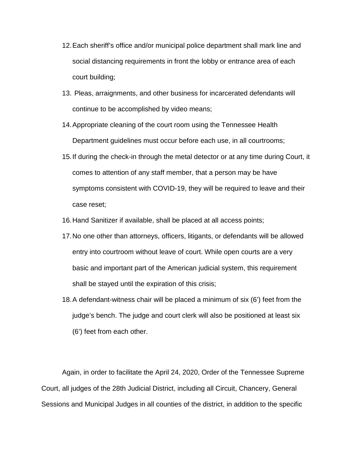- 12.Each sheriff's office and/or municipal police department shall mark line and social distancing requirements in front the lobby or entrance area of each court building;
- 13. Pleas, arraignments, and other business for incarcerated defendants will continue to be accomplished by video means;
- 14.Appropriate cleaning of the court room using the Tennessee Health Department guidelines must occur before each use, in all courtrooms;
- 15.If during the check-in through the metal detector or at any time during Court, it comes to attention of any staff member, that a person may be have symptoms consistent with COVID-19, they will be required to leave and their case reset;
- 16.Hand Sanitizer if available, shall be placed at all access points;
- 17.No one other than attorneys, officers, litigants, or defendants will be allowed entry into courtroom without leave of court. While open courts are a very basic and important part of the American judicial system, this requirement shall be stayed until the expiration of this crisis;
- 18.A defendant-witness chair will be placed a minimum of six (6') feet from the judge's bench. The judge and court clerk will also be positioned at least six (6') feet from each other.

Again, in order to facilitate the April 24, 2020, Order of the Tennessee Supreme Court, all judges of the 28th Judicial District, including all Circuit, Chancery, General Sessions and Municipal Judges in all counties of the district, in addition to the specific